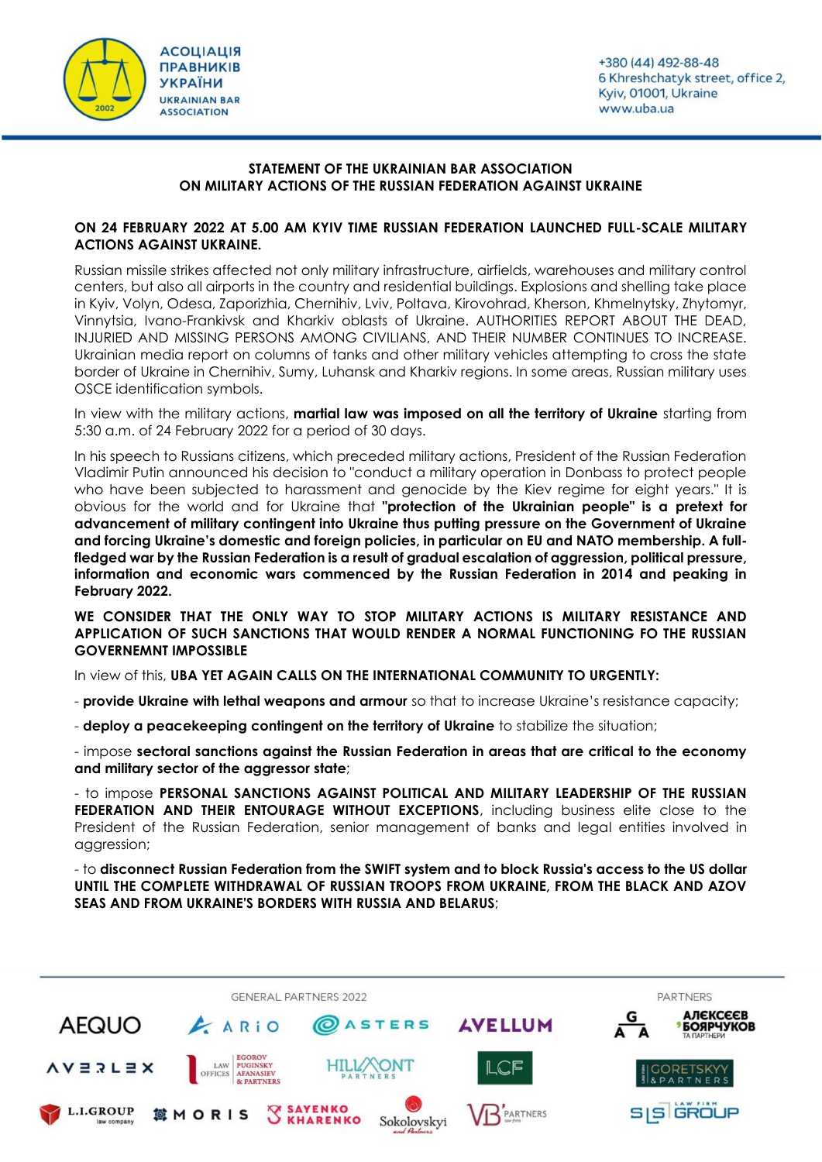



## **STATEMENT OF THE UKRAINIAN BAR ASSOCIATION ON MILITARY ACTIONS OF THE RUSSIAN FEDERATION AGAINST UKRAINE**

## **ON 24 FEBRUARY 2022 AT 5.00 AM KYIV TIME RUSSIAN FEDERATION LAUNCHED FULL-SCALE MILITARY ACTIONS AGAINST UKRAINE.**

Russian missile strikes affected not only military infrastructure, airfields, warehouses and military control centers, but also all airports in the country and residential buildings. Explosions and shelling take place in Kyiv, Volyn, Odesa, Zaporizhia, Chernihiv, Lviv, Poltava, Kirovohrad, Kherson, Khmelnytsky, Zhytomyr, Vinnytsia, Ivano-Frankivsk and Kharkiv oblasts of Ukraine. AUTHORITIES REPORT ABOUT THE DEAD, INJURIED AND MISSING PERSONS AMONG CIVILIANS, AND THEIR NUMBER CONTINUES TO INCREASE. Ukrainian media report on columns of tanks and other military vehicles attempting to cross the state border of Ukraine in Chernihiv, Sumy, Luhansk and Kharkiv regions. In some areas, Russian military uses OSCE identification symbols.

In view with the military actions, **martial law was imposed on all the territory of Ukraine** starting from 5:30 a.m. of 24 February 2022 for a period of 30 days.

In his speech to Russians citizens, which preceded military actions, President of the Russian Federation Vladimir Putin announced his decision to "conduct a military operation in Donbass to protect people who have been subjected to harassment and genocide by the Kiev regime for eight years." It is obvious for the world and for Ukraine that **"protection of the Ukrainian people" is a pretext for advancement of military contingent into Ukraine thus putting pressure on the Government of Ukraine and forcing Ukraine's domestic and foreign policies, in particular on EU and NATO membership. A fullfledged war by the Russian Federation is a result of gradual escalation of aggression, political pressure, information and economic wars commenced by the Russian Federation in 2014 and peaking in February 2022.**

**WE CONSIDER THAT THE ONLY WAY TO STOP MILITARY ACTIONS IS MILITARY RESISTANCE AND APPLICATION OF SUCH SANCTIONS THAT WOULD RENDER A NORMAL FUNCTIONING FO THE RUSSIAN GOVERNEMNT IMPOSSIBLE** 

In view of this, **UBA YET AGAIN CALLS ON THE INTERNATIONAL COMMUNITY TO URGENTLY:**

- **provide Ukraine with lethal weapons and armour** so that to increase Ukraine's resistance capacity;
- **deploy a peacekeeping contingent on the territory of Ukraine** to stabilize the situation;

- impose **sectoral sanctions against the Russian Federation in areas that are critical to the economy and military sector of the aggressor state**;

- to impose **PERSONAL SANCTIONS AGAINST POLITICAL AND MILITARY LEADERSHIP OF THE RUSSIAN**  FEDERATION AND THEIR ENTOURAGE WITHOUT EXCEPTIONS, including business elite close to the President of the Russian Federation, senior management of banks and legal entities involved in aggression;

- to **disconnect Russian Federation from the SWIFT system and to block Russia's access to the US dollar UNTIL THE COMPLETE WITHDRAWAL OF RUSSIAN TROOPS FROM UKRAINE, FROM THE BLACK AND AZOV SEAS AND FROM UKRAINE'S BORDERS WITH RUSSIA AND BELARUS**;